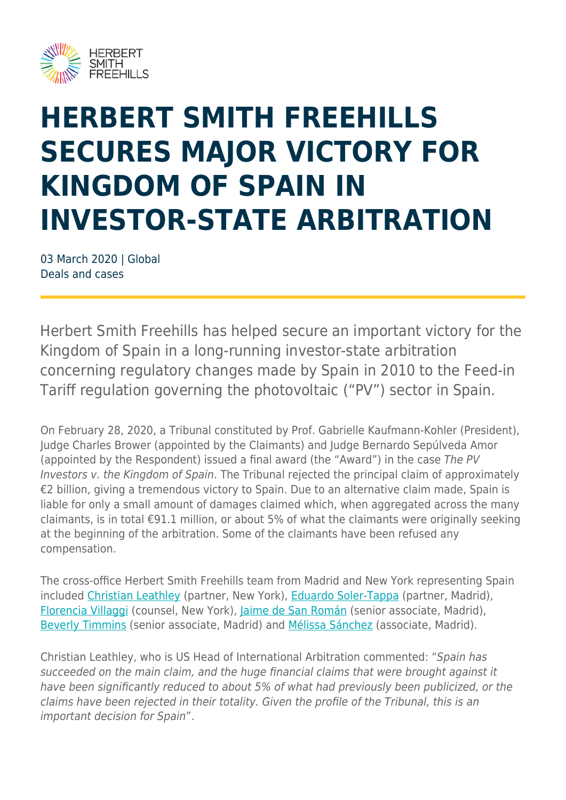

## **HERBERT SMITH FREEHILLS SECURES MAJOR VICTORY FOR KINGDOM OF SPAIN IN INVESTOR-STATE ARBITRATION**

03 March 2020 | Global Deals and cases

Herbert Smith Freehills has helped secure an important victory for the Kingdom of Spain in a long-running investor-state arbitration concerning regulatory changes made by Spain in 2010 to the Feed-in Tariff regulation governing the photovoltaic ("PV") sector in Spain.

On February 28, 2020, a Tribunal constituted by Prof. Gabrielle Kaufmann-Kohler (President), Judge Charles Brower (appointed by the Claimants) and Judge Bernardo Sepúlveda Amor (appointed by the Respondent) issued a final award (the "Award") in the case The PV Investors v. the Kingdom of Spain. The Tribunal rejected the principal claim of approximately €2 billion, giving a tremendous victory to Spain. Due to an alternative claim made, Spain is liable for only a small amount of damages claimed which, when aggregated across the many claimants, is in total €91.1 million, or about 5% of what the claimants were originally seeking at the beginning of the arbitration. Some of the claimants have been refused any compensation.

The cross-office Herbert Smith Freehills team from Madrid and New York representing Spain included [Christian Leathley](https://www.herbertsmithfreehills.com/our-people/christian-leathley) (partner, New York), [Eduardo Soler-Tappa](https://www.herbertsmithfreehills.com/our-people/eduardo-soler-tappa) (partner, Madrid), [Florencia Villaggi](https://www.herbertsmithfreehills.com/our-people/florencia-villaggi) (counsel, New York), [Jaime de San Román](https://www.herbertsmithfreehills.com/our-people/jaime-de-san-rom%C3%A1n) (senior associate, Madrid), [Beverly Timmins](https://www.herbertsmithfreehills.com/our-people/beverly-timmins) (senior associate, Madrid) and [Mélissa Sánchez](https://www.herbertsmithfreehills.com/our-people/m%C3%A9lissa-s%C3%A1nchez) (associate, Madrid).

Christian Leathley, who is US Head of International Arbitration commented: "Spain has succeeded on the main claim, and the huge financial claims that were brought against it have been significantly reduced to about 5% of what had previously been publicized, or the claims have been rejected in their totality. Given the profile of the Tribunal, this is an important decision for Spain".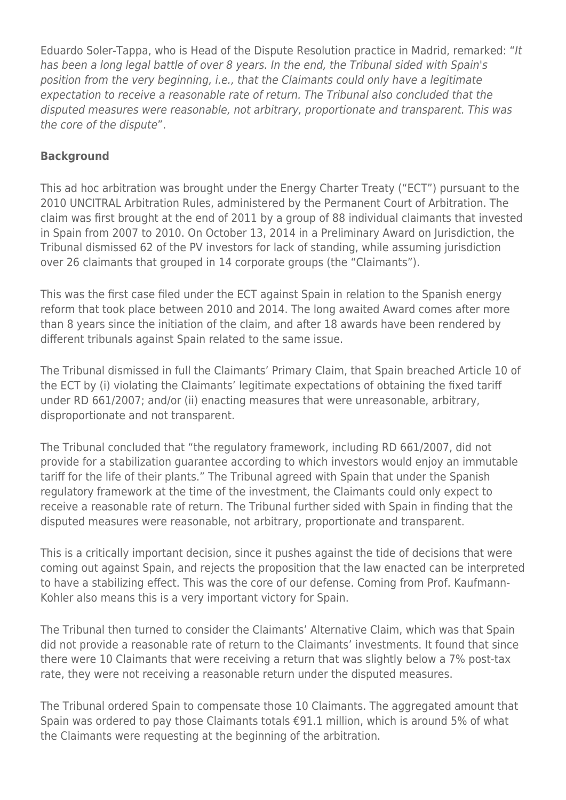Eduardo Soler-Tappa, who is Head of the Dispute Resolution practice in Madrid, remarked: "It has been a long legal battle of over 8 years. In the end, the Tribunal sided with Spain's position from the very beginning, i.e., that the Claimants could only have a legitimate expectation to receive a reasonable rate of return. The Tribunal also concluded that the disputed measures were reasonable, not arbitrary, proportionate and transparent. This was the core of the dispute".

## **Background**

This ad hoc arbitration was brought under the Energy Charter Treaty ("ECT") pursuant to the 2010 UNCITRAL Arbitration Rules, administered by the Permanent Court of Arbitration. The claim was first brought at the end of 2011 by a group of 88 individual claimants that invested in Spain from 2007 to 2010. On October 13, 2014 in a Preliminary Award on Jurisdiction, the Tribunal dismissed 62 of the PV investors for lack of standing, while assuming jurisdiction over 26 claimants that grouped in 14 corporate groups (the "Claimants").

This was the first case filed under the ECT against Spain in relation to the Spanish energy reform that took place between 2010 and 2014. The long awaited Award comes after more than 8 years since the initiation of the claim, and after 18 awards have been rendered by different tribunals against Spain related to the same issue.

The Tribunal dismissed in full the Claimants' Primary Claim, that Spain breached Article 10 of the ECT by (i) violating the Claimants' legitimate expectations of obtaining the fixed tariff under RD 661/2007; and/or (ii) enacting measures that were unreasonable, arbitrary, disproportionate and not transparent.

The Tribunal concluded that "the regulatory framework, including RD 661/2007, did not provide for a stabilization guarantee according to which investors would enjoy an immutable tariff for the life of their plants." The Tribunal agreed with Spain that under the Spanish regulatory framework at the time of the investment, the Claimants could only expect to receive a reasonable rate of return. The Tribunal further sided with Spain in finding that the disputed measures were reasonable, not arbitrary, proportionate and transparent.

This is a critically important decision, since it pushes against the tide of decisions that were coming out against Spain, and rejects the proposition that the law enacted can be interpreted to have a stabilizing effect. This was the core of our defense. Coming from Prof. Kaufmann-Kohler also means this is a very important victory for Spain.

The Tribunal then turned to consider the Claimants' Alternative Claim, which was that Spain did not provide a reasonable rate of return to the Claimants' investments. It found that since there were 10 Claimants that were receiving a return that was slightly below a 7% post-tax rate, they were not receiving a reasonable return under the disputed measures.

The Tribunal ordered Spain to compensate those 10 Claimants. The aggregated amount that Spain was ordered to pay those Claimants totals €91.1 million, which is around 5% of what the Claimants were requesting at the beginning of the arbitration.